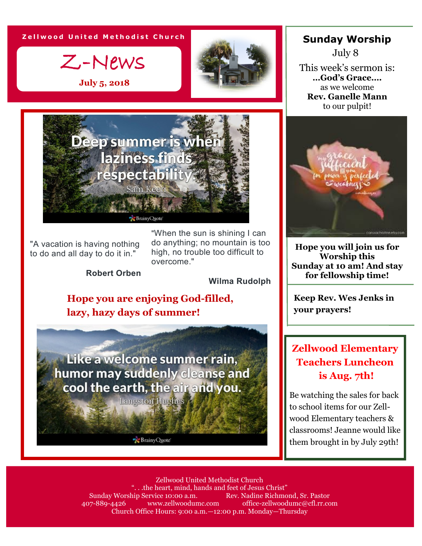**Z e l l w o o d U n i t e d M e t h o d i s t C h u r c h**

Z-News

**July 5, 2018**



"A vacation is having nothing to do and all day to do it in."

"When the sun is shining I can do anything; no mountain is too high, no trouble too difficult to overcome."

**Robert Orben**

**Wilma Rudolph**

### **Hope you are enjoying God-filled, lazy, hazy days of summer!**

Like a welcome summer rain, humor may suddenly cleanse and cool the earth, the air and you.

**Langston Hughes** 

Brainy Quote

## **Sunday Worship**

This week's sermon is: **…God's Grace….** as we welcome **Rev. Ganelle Mann**  to our pulpit! July 8



**Hope you will join us for Worship this Sunday at 10 am! And stay for fellowship time!**

**Keep Rev. Wes Jenks in your prayers!**

## **Zellwood Elementary Teachers Luncheon is Aug. 7th!**

Be watching the sales for back to school items for our Zellwood Elementary teachers & classrooms! Jeanne would like them brought in by July 29th!

Zellwood United Methodist Church "...the heart, mind, hands and feet of Jesus Christ"<br>hip Service 10:00 a.m. Rev. Nadine Richmond. Sr. Pastor Sunday Worship Service 10:00 a.m. 407-889-4426 www.zellwoodumc.com office-zellwoodumc@cfl.rr.com Church Office Hours: 9:00 a.m.—12:00 p.m. Monday—Thursday